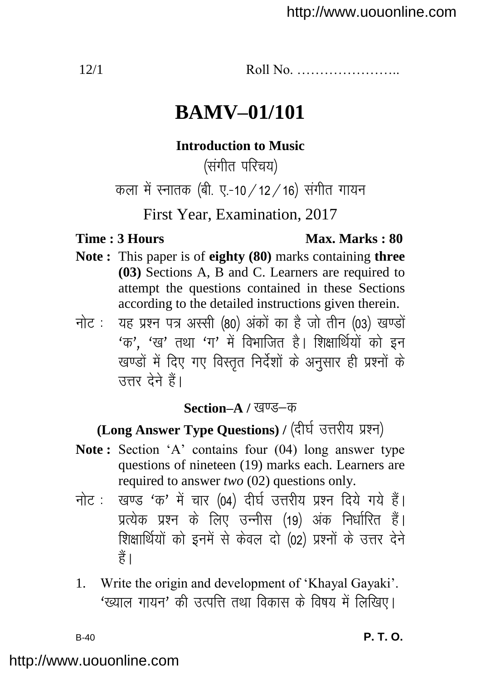12/1 Roll No. …………………..

# **BAMV–01/101**

### **Introduction to Music**

(संगीत परिचय)

कला में स्नातक (बी. ए.-10 / 12 / 16) संगीत गायन

First Year, Examination, 2017

### **Time : 3 Hours Max. Marks : 80**

- **Note :** This paper is of **eighty (80)** marks containing **three (03)** Sections A, B and C. Learners are required to attempt the questions contained in these Sections according to the detailed instructions given therein.
- नोट: यह प्रश्न पत्र अस्सी (80) अंकों का है जो तीन (03) खण्डों  $4\sigma'$ ,  $4\sigma'$  तथा  $4\sigma'$  में विभाजित है। शिक्षार्थियों को इन खण्डों में दिए गए विस्तृत निर्देशों के अनुसार ही प्रश्नों के  $\overline{R}$ तत्तर देने हैं।

## **Section–A / खण्ड–क**

# (Long Answer Type Questions) / (दीर्घ उत्तरीय प्रश्न)

- **Note :** Section 'A' contains four (04) long answer type questions of nineteen (19) marks each. Learners are required to answer *two* (02) questions only.
- नोट: खण्ड 'क' में चार (04) दीर्घ उत्तरीय प्रश्न दिये गये हैं। प्रत्येक प्रश्न के लिए उन्नीस (19) अंक निर्धारित हैं। शिक्षार्थियों को इनमें से केवल दो (02) प्रश्नों के उत्तर देने हैं ।
- 1. Write the origin and development of "Khayal Gayaki". 'ख्याल गायन' की उत्पत्ति तथा विकास के विषय में लिखिए।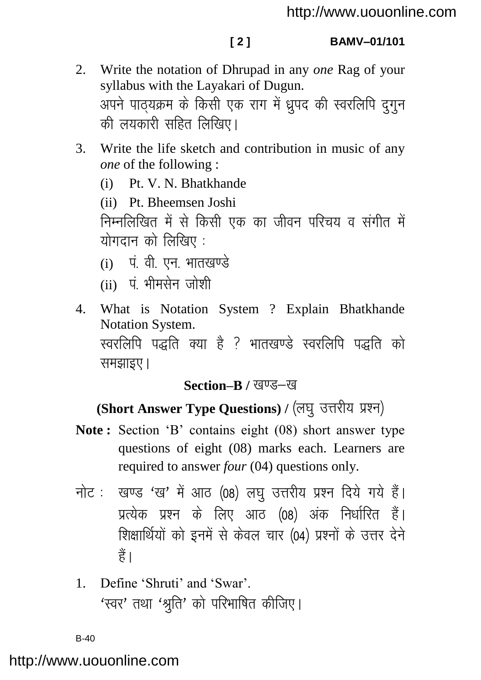- 2. Write the notation of Dhrupad in any *one* Rag of your syllabus with the Layakari of Dugun. अपने पाठयक्रम के किसी एक राग में ध्रुपद की स्वरलिपि दुगुन की लयकारी सहित लिखिए।
- 3. Write the life sketch and contribution in music of any *one* of the following :
	- (i) Pt. V. N. Bhatkhande

(ii) Pt. Bheemsen Joshi निम्नलिखित में से किसी एक का जीवन परिचय व संगीत में योगदान को लिखिए $:$ 

- $(i)$  पं. वी. एन. भातखण्डे
- $(i)$  पं भीमसेन जोशी
- 4. What is Notation System ? Explain Bhatkhande Notation System. स्वरलिपि पद्धति क्या है ? भातखण्डे स्वरलिपि पद्धति को समझाइए ।

# **Section–B / खण्ड–ख**

# (Short Answer Type Questions) / (लघु उत्तरीय प्रश्न)

- **Note :** Section "B" contains eight (08) short answer type questions of eight (08) marks each. Learners are required to answer *four* (04) questions only.
- नोट: खण्ड 'ख' में आठ (08) लघ उत्तरीय प्रश्न दिये गये हैं। प्रत्येक प्रश्न के लिए आठ (08) अंक निर्धारित हैं। शिक्षार्थियों को इनमें से केवल चार (04) प्रश्नों के उत्तर देने हैं।
- 1. Define 'Shruti' and 'Swar'.  $'$ स्वर' तथा  $'$ श्रति' को परिभाषित कीजिए।

B-40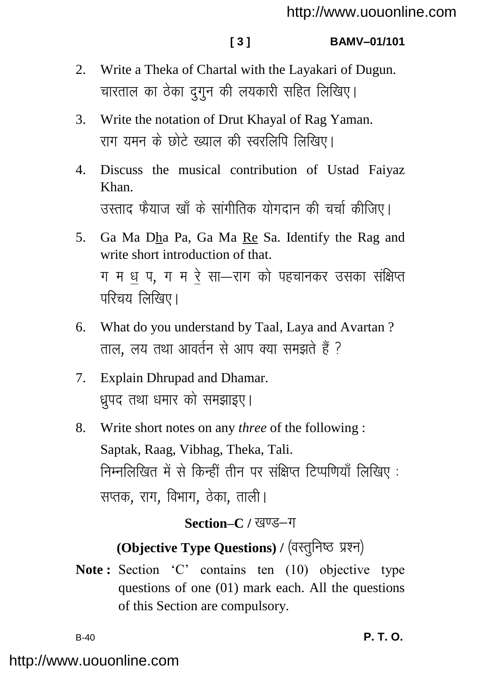### **[ 3 ] BAMV–01/101**

- 2. Write a Theka of Chartal with the Layakari of Dugun. चारताल का ठेका दगन की लयकारी सहित लिखिए।
- 3. Write the notation of Drut Khayal of Rag Yaman. राग यमन के छोटे ख्याल की स्वरलिपि लिखिए।
- 4. Discuss the musical contribution of Ustad Faiyaz Khan. उस्ताद फैयाज़ ख़ाँ के सांगीतिक योगदान की चर्चा कीजिए।
- 5. Ga Ma Dha Pa, Ga Ma Re Sa. Identify the Rag and write short introduction of that. ग म ध प, ग म रे सा—राग को पहचानकर उसका संक्षिप्त  $\overline{u}$ रिचय लिखिए।
- 6. What do you understand by Taal, Laya and Avartan ? ताल. लय तथा आवर्तन से आप क्या समझते हैं ?
- 7. Explain Dhrupad and Dhamar. धपद तथा धमार को समझाइए।
- 8. Write short notes on any *three* of the following : Saptak, Raag, Vibhag, Theka, Tali. निम्नलिखित में से किन्हीं तीन पर संक्षिप्त टिप्पणियाँ लिखिए: सप्तक, राग, विभाग, ठेका, ताली।

# Section–C / खण्ड–ग

# **(Objective Type Questions) / (वस्तुनिष्ठ प्रश्न)**

Note: Section 'C' contains ten (10) objective type questions of one (01) mark each. All the questions of this Section are compulsory.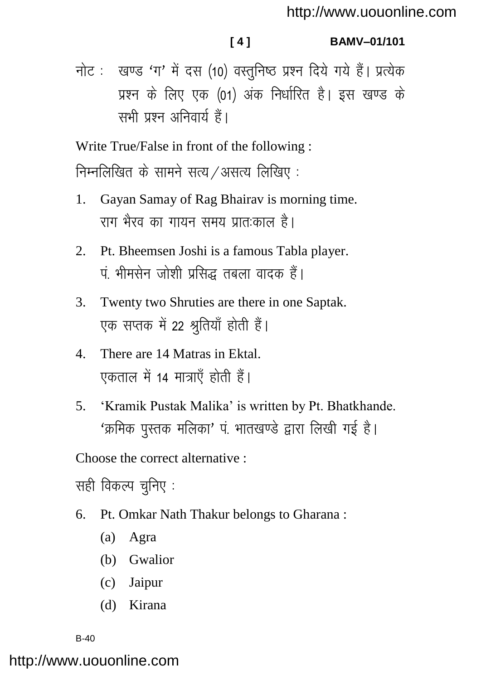**[ 4 ] BAMV–01/101**

नोट: खण्ड 'ग' में दस (10) वस्तुनिष्ठ प्रश्न दिये गये हैं। प्रत्येक प्रश्न के लिए एक (01) अंक निर्धारित है। इस खण्ड के सभी पञ्च अनिवार्य हैं।

Write True/False in front of the following :

निम्नलिखित के सामने सत्य  $\overline{\prime}$ असत्य लिखिए:

- 1. Gayan Samay of Rag Bhairav is morning time. राग भैरव का गायन समय प्रात:काल है।
- 2. Pt. Bheemsen Joshi is a famous Tabla player. पं. भीमसेन जोशी प्रसिद्ध तबला वादक हैं।
- 3. Twenty two Shruties are there in one Saptak. एक सप्तक में 22 श्रतियाँ होती हैं।
- 4. There are 14 Matras in Ektal. एकताल में 14 मात्राएँ होती हैं।
- 5. "Kramik Pustak Malika" is written by Pt. Bhatkhande. 'क्रमिक पुस्तक मलिका' पं. भातखण्डे द्वारा लिखी गई है।

Choose the correct alternative :

सही विकल्प चनिए :

- 6. Pt. Omkar Nath Thakur belongs to Gharana :
	- (a) Agra
	- (b) Gwalior
	- (c) Jaipur
	- (d) Kirana

B-40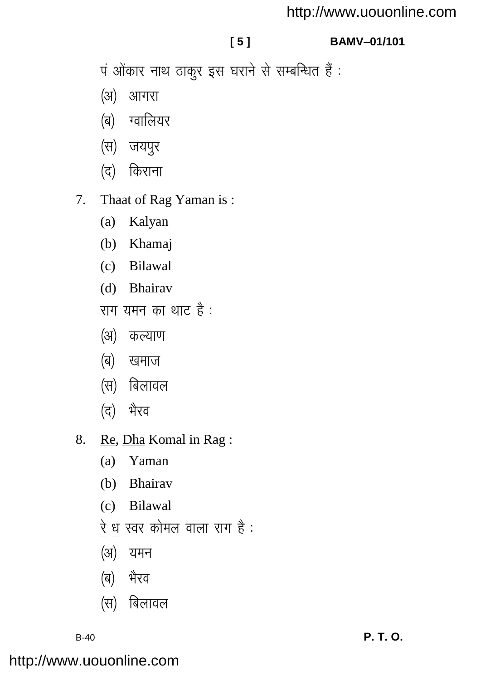## http://www.uouonline.com

## $151$

## **BAMV-01/101**

पं ओंकार नाथ ठाकुर इस घराने से सम्बन्धित हैं :

- (अ) आगरा
- (ब) ग्वालियर
- (स) जयपुर
- (द) किराना
- Thaat of Rag Yaman is:  $7<sub>1</sub>$ 
	- $(a)$ Kalyan
	- (b) Khamaj
	- (c) Bilawal
	- (d) Bhairav
	- राग यमन का थाट है:
	- (अ) कल्याण
	- (ब) खमाज
	- (स) बिलावल
	- भैरव (द)
- 8. Re, Dha Komal in Rag:
	- (a) Yaman
	- (b) Bhairav
	- (c) Bilawal
	- रे ध स्वर कोमल वाला राग है :
	- (अ) यमन
	- (ब) भैरव
	- (स) बिलावल

 $B-40$